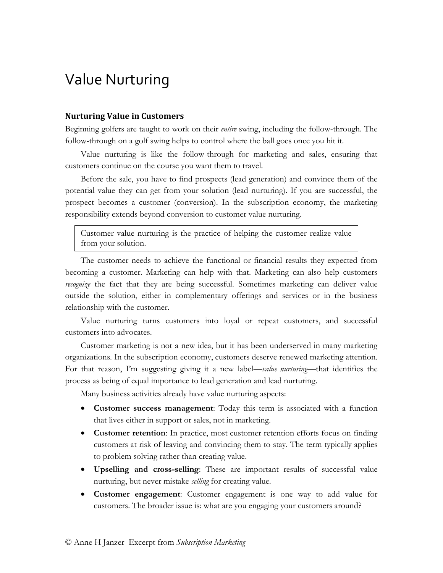## Value Nurturing

## **Nurturing Value in Customers**

Beginning golfers are taught to work on their *entire* swing, including the follow-through. The follow-through on a golf swing helps to control where the ball goes once you hit it.

Value nurturing is like the follow-through for marketing and sales, ensuring that customers continue on the course you want them to travel.

Before the sale, you have to find prospects (lead generation) and convince them of the potential value they can get from your solution (lead nurturing). If you are successful, the prospect becomes a customer (conversion). In the subscription economy, the marketing responsibility extends beyond conversion to customer value nurturing.

Customer value nurturing is the practice of helping the customer realize value from your solution.

The customer needs to achieve the functional or financial results they expected from becoming a customer. Marketing can help with that. Marketing can also help customers *recognize* the fact that they are being successful. Sometimes marketing can deliver value outside the solution, either in complementary offerings and services or in the business relationship with the customer.

Value nurturing turns customers into loyal or repeat customers, and successful customers into advocates.

Customer marketing is not a new idea, but it has been underserved in many marketing organizations. In the subscription economy, customers deserve renewed marketing attention. For that reason, I'm suggesting giving it a new label—*value nurturing*—that identifies the process as being of equal importance to lead generation and lead nurturing.

Many business activities already have value nurturing aspects:

- **Customer success management**: Today this term is associated with a function that lives either in support or sales, not in marketing.
- **Customer retention**: In practice, most customer retention efforts focus on finding customers at risk of leaving and convincing them to stay. The term typically applies to problem solving rather than creating value.
- **Upselling and cross-selling**: These are important results of successful value nurturing, but never mistake *selling* for creating value.
- **Customer engagement**: Customer engagement is one way to add value for customers. The broader issue is: what are you engaging your customers around?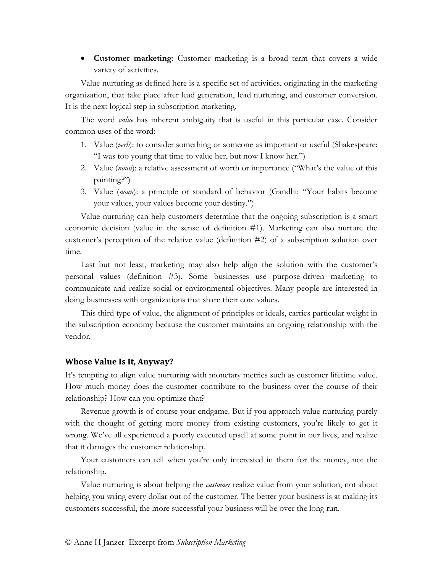**Customer marketing**: Customer marketing is a broad term that covers a wide variety of activities.

Value nurturing as defined here is a specific set of activities, originating in the marketing organization, that take place after lead generation, lead nurturing, and customer conversion. It is the next logical step in subscription marketing.

The word *value* has inherent ambiguity that is useful in this particular case. Consider common uses of the word:

- 1. Value (*verb*): to consider something or someone as important or useful (Shakespeare: "I was too young that time to value her, but now I know her.")
- 2. Value (*noun*): a relative assessment of worth or importance ("What's the value of this painting?")
- 3. Value (*noun*): a principle or standard of behavior (Gandhi: "Your habits become your values, your values become your destiny.")

Value nurturing can help customers determine that the ongoing subscription is a smart economic decision (value in the sense of definition #1). Marketing can also nurture the customer's perception of the relative value (definition #2) of a subscription solution over time.

Last but not least, marketing may also help align the solution with the customer's personal values (definition #3). Some businesses use purpose-driven marketing to communicate and realize social or environmental objectives. Many people are interested in doing businesses with organizations that share their core values.

This third type of value, the alignment of principles or ideals, carries particular weight in the subscription economy because the customer maintains an ongoing relationship with the vendor.

## **Whose Value Is It, Anyway?**

It's tempting to align value nurturing with monetary metrics such as customer lifetime value. How much money does the customer contribute to the business over the course of their relationship? How can you optimize that?

Revenue growth is of course your endgame. But if you approach value nurturing purely with the thought of getting more money from existing customers, you're likely to get it wrong. We've all experienced a poorly executed upsell at some point in our lives, and realize that it damages the customer relationship.

Your customers can tell when you're only interested in them for the money, not the relationship.

Value nurturing is about helping the *customer* realize value from your solution, not about helping you wring every dollar out of the customer. The better your business is at making its customers successful, the more successful your business will be over the long run.